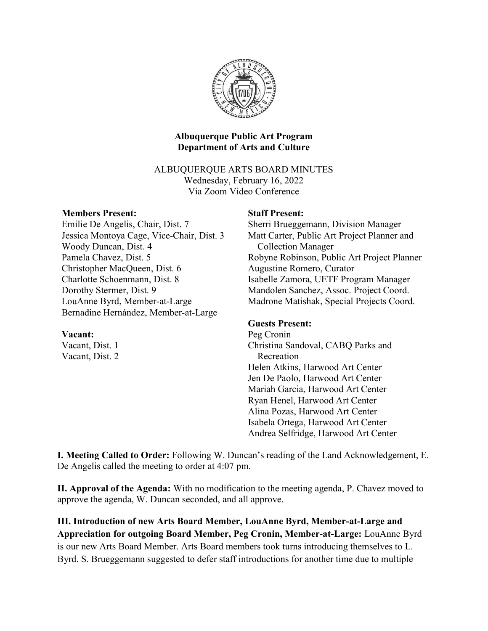

## Albuquerque Public Art Program Department of Arts and Culture

ALBUQUERQUE ARTS BOARD MINUTES Wednesday, February 16, 2022 Via Zoom Video Conference

### Members Present:

Emilie De Angelis, Chair, Dist. 7 Jessica Montoya Cage, Vice-Chair, Dist. 3 Woody Duncan, Dist. 4 Pamela Chavez, Dist. 5 Christopher MacQueen, Dist. 6 Charlotte Schoenmann, Dist. 8 Dorothy Stermer, Dist. 9 LouAnne Byrd, Member-at-Large Bernadine Hernández, Member-at-Large

### Vacant:

Vacant, Dist. 1 Vacant, Dist. 2

### Staff Present:

Sherri Brueggemann, Division Manager Matt Carter, Public Art Project Planner and \_\_Collection Manager Robyne Robinson, Public Art Project Planner Augustine Romero, Curator Isabelle Zamora, UETF Program Manager Mandolen Sanchez, Assoc. Project Coord. Madrone Matishak, Special Projects Coord.

### Guests Present:

Peg Cronin Christina Sandoval, CABQ Parks and \_\_Recreation Helen Atkins, Harwood Art Center Jen De Paolo, Harwood Art Center Mariah Garcia, Harwood Art Center Ryan Henel, Harwood Art Center Alina Pozas, Harwood Art Center Isabela Ortega, Harwood Art Center Andrea Selfridge, Harwood Art Center

I. Meeting Called to Order: Following W. Duncan's reading of the Land Acknowledgement, E. De Angelis called the meeting to order at 4:07 pm.

II. Approval of the Agenda: With no modification to the meeting agenda, P. Chavez moved to approve the agenda, W. Duncan seconded, and all approve.

III. Introduction of new Arts Board Member, LouAnne Byrd, Member-at-Large and Appreciation for outgoing Board Member, Peg Cronin, Member-at-Large: LouAnne Byrd is our new Arts Board Member. Arts Board members took turns introducing themselves to L. Byrd. S. Brueggemann suggested to defer staff introductions for another time due to multiple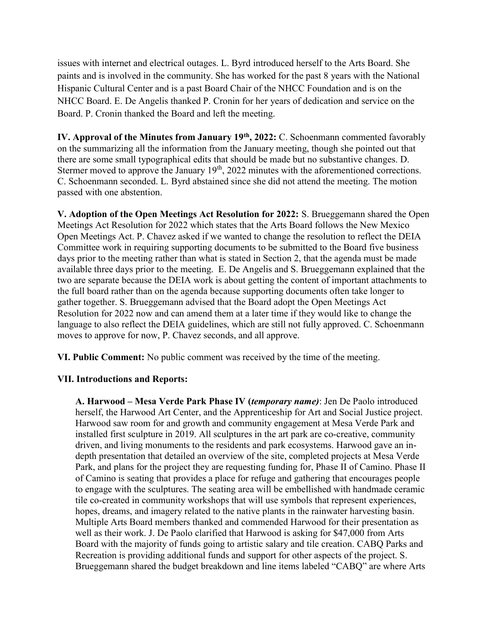issues with internet and electrical outages. L. Byrd introduced herself to the Arts Board. She paints and is involved in the community. She has worked for the past 8 years with the National Hispanic Cultural Center and is a past Board Chair of the NHCC Foundation and is on the NHCC Board. E. De Angelis thanked P. Cronin for her years of dedication and service on the Board. P. Cronin thanked the Board and left the meeting.

IV. Approval of the Minutes from January 19<sup>th</sup>, 2022: C. Schoenmann commented favorably on the summarizing all the information from the January meeting, though she pointed out that there are some small typographical edits that should be made but no substantive changes. D. Stermer moved to approve the January 19<sup>th</sup>, 2022 minutes with the aforementioned corrections. C. Schoenmann seconded. L. Byrd abstained since she did not attend the meeting. The motion passed with one abstention.

V. Adoption of the Open Meetings Act Resolution for 2022: S. Brueggemann shared the Open Meetings Act Resolution for 2022 which states that the Arts Board follows the New Mexico Open Meetings Act. P. Chavez asked if we wanted to change the resolution to reflect the DEIA Committee work in requiring supporting documents to be submitted to the Board five business days prior to the meeting rather than what is stated in Section 2, that the agenda must be made available three days prior to the meeting. E. De Angelis and S. Brueggemann explained that the two are separate because the DEIA work is about getting the content of important attachments to the full board rather than on the agenda because supporting documents often take longer to gather together. S. Brueggemann advised that the Board adopt the Open Meetings Act Resolution for 2022 now and can amend them at a later time if they would like to change the language to also reflect the DEIA guidelines, which are still not fully approved. C. Schoenmann moves to approve for now, P. Chavez seconds, and all approve.

VI. Public Comment: No public comment was received by the time of the meeting.

# VII. Introductions and Reports:

A. Harwood – Mesa Verde Park Phase IV (temporary name): Jen De Paolo introduced herself, the Harwood Art Center, and the Apprenticeship for Art and Social Justice project. Harwood saw room for and growth and community engagement at Mesa Verde Park and installed first sculpture in 2019. All sculptures in the art park are co-creative, community driven, and living monuments to the residents and park ecosystems. Harwood gave an indepth presentation that detailed an overview of the site, completed projects at Mesa Verde Park, and plans for the project they are requesting funding for, Phase II of Camino. Phase II of Camino is seating that provides a place for refuge and gathering that encourages people to engage with the sculptures. The seating area will be embellished with handmade ceramic tile co-created in community workshops that will use symbols that represent experiences, hopes, dreams, and imagery related to the native plants in the rainwater harvesting basin. Multiple Arts Board members thanked and commended Harwood for their presentation as well as their work. J. De Paolo clarified that Harwood is asking for \$47,000 from Arts Board with the majority of funds going to artistic salary and tile creation. CABQ Parks and Recreation is providing additional funds and support for other aspects of the project. S. Brueggemann shared the budget breakdown and line items labeled "CABQ" are where Arts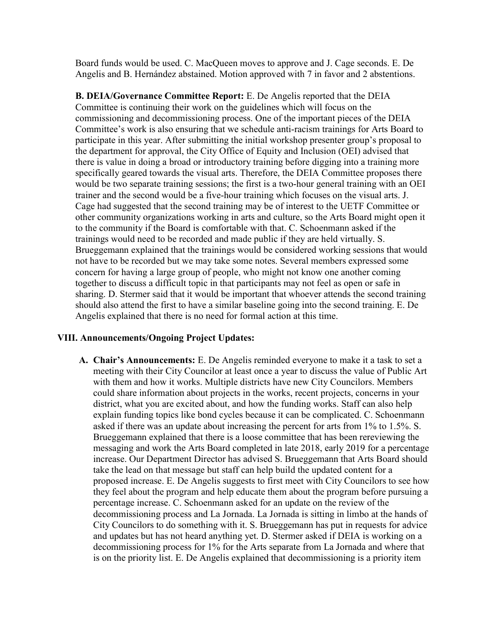Board funds would be used. C. MacQueen moves to approve and J. Cage seconds. E. De Angelis and B. Hernández abstained. Motion approved with 7 in favor and 2 abstentions.

B. DEIA/Governance Committee Report: E. De Angelis reported that the DEIA Committee is continuing their work on the guidelines which will focus on the commissioning and decommissioning process. One of the important pieces of the DEIA Committee's work is also ensuring that we schedule anti-racism trainings for Arts Board to participate in this year. After submitting the initial workshop presenter group's proposal to the department for approval, the City Office of Equity and Inclusion (OEI) advised that there is value in doing a broad or introductory training before digging into a training more specifically geared towards the visual arts. Therefore, the DEIA Committee proposes there would be two separate training sessions; the first is a two-hour general training with an OEI trainer and the second would be a five-hour training which focuses on the visual arts. J. Cage had suggested that the second training may be of interest to the UETF Committee or other community organizations working in arts and culture, so the Arts Board might open it to the community if the Board is comfortable with that. C. Schoenmann asked if the trainings would need to be recorded and made public if they are held virtually. S. Brueggemann explained that the trainings would be considered working sessions that would not have to be recorded but we may take some notes. Several members expressed some concern for having a large group of people, who might not know one another coming together to discuss a difficult topic in that participants may not feel as open or safe in sharing. D. Stermer said that it would be important that whoever attends the second training should also attend the first to have a similar baseline going into the second training. E. De Angelis explained that there is no need for formal action at this time.

#### VIII. Announcements/Ongoing Project Updates:

A. Chair's Announcements: E. De Angelis reminded everyone to make it a task to set a meeting with their City Councilor at least once a year to discuss the value of Public Art with them and how it works. Multiple districts have new City Councilors. Members could share information about projects in the works, recent projects, concerns in your district, what you are excited about, and how the funding works. Staff can also help explain funding topics like bond cycles because it can be complicated. C. Schoenmann asked if there was an update about increasing the percent for arts from 1% to 1.5%. S. Brueggemann explained that there is a loose committee that has been rereviewing the messaging and work the Arts Board completed in late 2018, early 2019 for a percentage increase. Our Department Director has advised S. Brueggemann that Arts Board should take the lead on that message but staff can help build the updated content for a proposed increase. E. De Angelis suggests to first meet with City Councilors to see how they feel about the program and help educate them about the program before pursuing a percentage increase. C. Schoenmann asked for an update on the review of the decommissioning process and La Jornada. La Jornada is sitting in limbo at the hands of City Councilors to do something with it. S. Brueggemann has put in requests for advice and updates but has not heard anything yet. D. Stermer asked if DEIA is working on a decommissioning process for 1% for the Arts separate from La Jornada and where that is on the priority list. E. De Angelis explained that decommissioning is a priority item